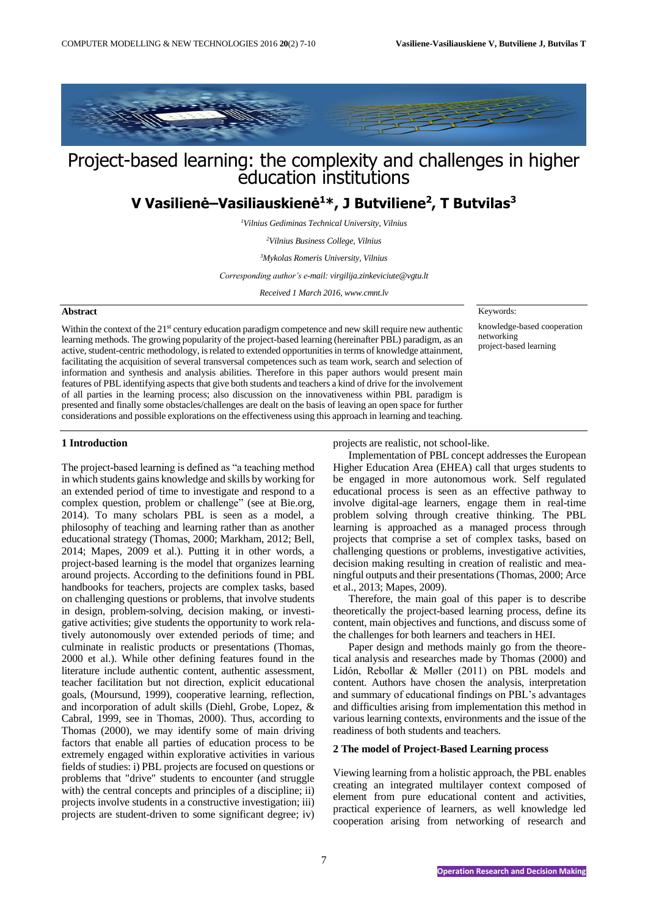

# Project-based learning: the complexity and challenges in higher education institutions

# **V Vasilienė–Vasiliauskienė<sup>1</sup>\*, J Butviliene<sup>2</sup> , T Butvilas<sup>3</sup>**

*<sup>1</sup>Vilnius Gediminas Technical University, Vilnius* 

*<sup>2</sup>Vilnius Business College, Vilnius*

*<sup>3</sup>Mykolas Romeris University, Vilnius* 

*Corresponding author's e-mail[: virgilija.zinkeviciute@vgtu.lt](mailto:virgilija.zinkeviciute@vgtu.lt)*

*Received 1 March 2016, www.cmnt.lv*

### **Abstract**

Within the context of the 21<sup>st</sup> century education paradigm competence and new skill require new authentic learning methods. The growing popularity of the project-based learning (hereinafter PBL) paradigm, as an active, student-centric methodology, is related to extended opportunities in terms of knowledge attainment, facilitating the acquisition of several transversal competences such as team work, search and selection of information and synthesis and analysis abilities. Therefore in this paper authors would present main features of PBL identifying aspects that give both students and teachers a kind of drive for the involvement of all parties in the learning process; also discussion on the innovativeness within PBL paradigm is presented and finally some obstacles/challenges are dealt on the basis of leaving an open space for further considerations and possible explorations on the effectiveness using this approach in learning and teaching.

Keywords:

knowledge-based cooperation networking project-based learning

## **1 Introduction**

The project-based learning is defined as "a teaching method in which students gains knowledge and skills by working for an extended period of time to investigate and respond to a complex question, problem or challenge" (see at Bie.org, 2014). To many scholars PBL is seen as a model, a philosophy of teaching and learning rather than as another educational strategy (Thomas, 2000; Markham, 2012; Bell, 2014; Mapes, 2009 et al.). Putting it in other words, a project-based learning is the model that organizes learning around projects. According to the definitions found in PBL handbooks for teachers, projects are complex tasks, based on challenging questions or problems, that involve students in design, problem-solving, decision making, or investigative activities; give students the opportunity to work relatively autonomously over extended periods of time; and culminate in realistic products or presentations (Thomas, 2000 et al.). While other defining features found in the literature include authentic content, authentic assessment, teacher facilitation but not direction, explicit educational goals, (Moursund, 1999), cooperative learning, reflection, and incorporation of adult skills (Diehl, Grobe, Lopez, & Cabral, 1999, see in Thomas, 2000). Thus, according to Thomas (2000), we may identify some of main driving factors that enable all parties of education process to be extremely engaged within explorative activities in various fields of studies: i) PBL projects are focused on questions or problems that "drive" students to encounter (and struggle with) the central concepts and principles of a discipline; ii) projects involve students in a constructive investigation; iii) projects are student-driven to some significant degree; iv)

projects are realistic, not school-like.

Implementation of PBL concept addresses the European Higher Education Area (EHEA) call that urges students to be engaged in more autonomous work. Self regulated educational process is seen as an effective pathway to involve digital-age learners, engage them in real-time problem solving through creative thinking. The PBL learning is approached as a managed process through projects that comprise a set of complex tasks, based on challenging questions or problems, investigative activities, decision making resulting in creation of realistic and meaningful outputs and their presentations (Thomas, 2000; Arce et al., 2013; Mapes, 2009).

Therefore, the main goal of this paper is to describe theoretically the project-based learning process, define its content, main objectives and functions, and discuss some of the challenges for both learners and teachers in HEI.

Paper design and methods mainly go from the theoretical analysis and researches made by Thomas (2000) and Lidón, Rebollar & Møller (2011) on PBL models and content. Authors have chosen the analysis, interpretation and summary of educational findings on PBL's advantages and difficulties arising from implementation this method in various learning contexts, environments and the issue of the readiness of both students and teachers.

#### **2 The model of Project-Based Learning process**

Viewing learning from a holistic approach, the PBL enables creating an integrated multilayer context composed of element from pure educational content and activities, practical experience of learners, as well knowledge led cooperation arising from networking of research and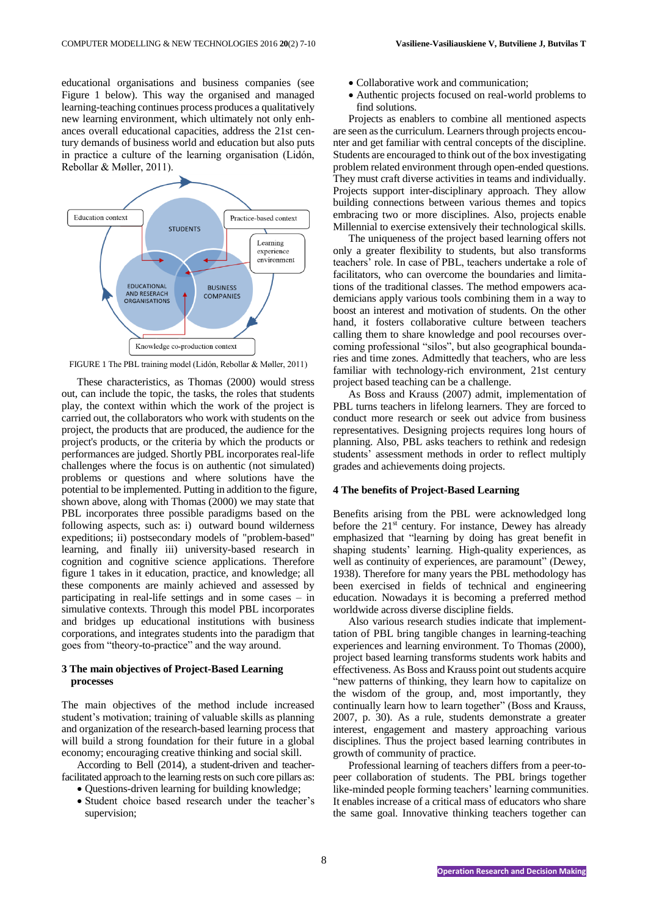educational organisations and business companies (see Figure 1 below). This way the organised and managed learning-teaching continues process produces a qualitatively new learning environment, which ultimately not only enhances overall educational capacities, address the 21st century demands of business world and education but also puts in practice a culture of the learning organisation (Lidón, Rebollar & Møller, 2011).



FIGURE 1 The PBL training model (Lidón, Rebollar & Møller, 2011)

These characteristics, as Thomas (2000) would stress out, can include the topic, the tasks, the roles that students play, the context within which the work of the project is carried out, the collaborators who work with students on the project, the products that are produced, the audience for the project's products, or the criteria by which the products or performances are judged. Shortly PBL incorporates real-life challenges where the focus is on authentic (not simulated) problems or questions and where solutions have the potential to be implemented. Putting in addition to the figure, shown above, along with Thomas (2000) we may state that PBL incorporates three possible paradigms based on the following aspects, such as: i) outward bound wilderness expeditions; ii) postsecondary models of "problem-based" learning, and finally iii) university-based research in cognition and cognitive science applications. Therefore figure 1 takes in it education, practice, and knowledge; all these components are mainly achieved and assessed by participating in real-life settings and in some cases – in simulative contexts. Through this model PBL incorporates and bridges up educational institutions with business corporations, and integrates students into the paradigm that goes from "theory-to-practice" and the way around.

#### **3 The main objectives of Project-Based Learning processes**

The main objectives of the method include increased student's motivation; training of valuable skills as planning and organization of the research-based learning process that will build a strong foundation for their future in a global economy; encouraging creative thinking and social skill.

According to Bell (2014), a student-driven and teacherfacilitated approach to the learning rests on such core pillars as:

- Questions-driven learning for building knowledge;
- Student choice based research under the teacher's supervision;
- Collaborative work and communication;
- Authentic projects focused on real-world problems to find solutions.

Projects as enablers to combine all mentioned aspects are seen as the curriculum. Learners through projects encounter and get familiar with central concepts of the discipline. Students are encouraged to think out of the box investigating problem related environment through open-ended questions. They must craft diverse activities in teams and individually. Projects support inter-disciplinary approach. They allow building connections between various themes and topics embracing two or more disciplines. Also, projects enable Millennial to exercise extensively their technological skills.

The uniqueness of the project based learning offers not only a greater flexibility to students, but also transforms teachers' role. In case of PBL, teachers undertake a role of facilitators, who can overcome the boundaries and limitations of the traditional classes. The method empowers academicians apply various tools combining them in a way to boost an interest and motivation of students. On the other hand, it fosters collaborative culture between teachers calling them to share knowledge and pool recourses overcoming professional "silos", but also geographical boundaries and time zones. Admittedly that teachers, who are less familiar with technology-rich environment, 21st century project based teaching can be a challenge.

As Boss and Krauss (2007) admit, implementation of PBL turns teachers in lifelong learners. They are forced to conduct more research or seek out advice from business representatives. Designing projects requires long hours of planning. Also, PBL asks teachers to rethink and redesign students' assessment methods in order to reflect multiply grades and achievements doing projects.

#### **4 The benefits of Project-Based Learning**

Benefits arising from the PBL were acknowledged long before the 21<sup>st</sup> century. For instance, Dewey has already emphasized that "learning by doing has great benefit in shaping students' learning. High-quality experiences, as well as continuity of experiences, are paramount" (Dewey, 1938). Therefore for many years the PBL methodology has been exercised in fields of technical and engineering education. Nowadays it is becoming a preferred method worldwide across diverse discipline fields.

Also various research studies indicate that implementtation of PBL bring tangible changes in learning-teaching experiences and learning environment. To Thomas (2000), project based learning transforms students work habits and effectiveness. As Boss and Krauss point out students acquire "new patterns of thinking, they learn how to capitalize on the wisdom of the group, and, most importantly, they continually learn how to learn together" (Boss and Krauss, 2007, p. 30). As a rule, students demonstrate a greater interest, engagement and mastery approaching various disciplines. Thus the project based learning contributes in growth of community of practice.

Professional learning of teachers differs from a peer-topeer collaboration of students. The PBL brings together like-minded people forming teachers' learning communities. It enables increase of a critical mass of educators who share the same goal. Innovative thinking teachers together can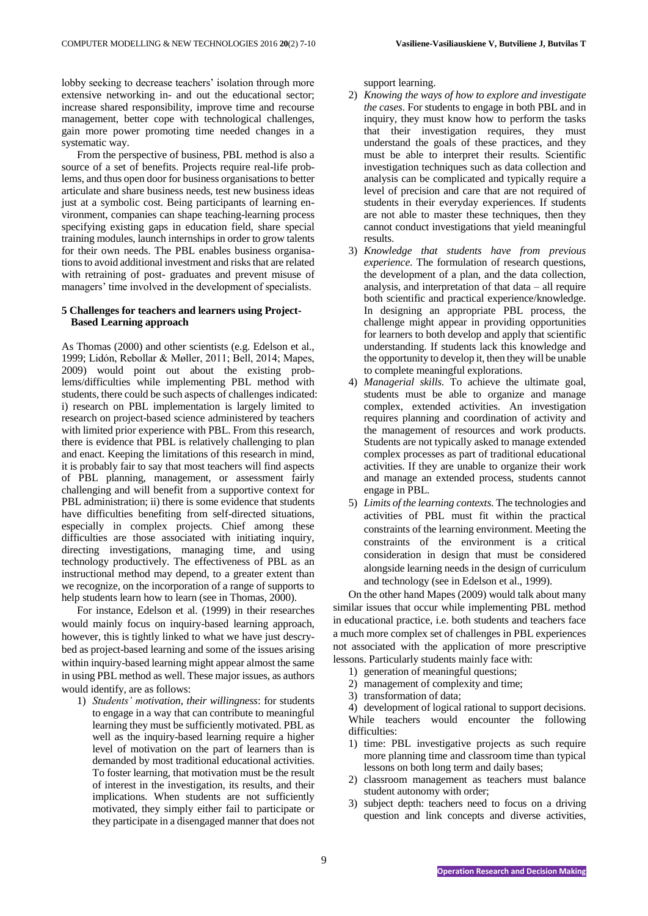lobby seeking to decrease teachers' isolation through more extensive networking in- and out the educational sector; increase shared responsibility, improve time and recourse management, better cope with technological challenges, gain more power promoting time needed changes in a systematic way.

From the perspective of business, PBL method is also a source of a set of benefits. Projects require real-life problems, and thus open door for business organisations to better articulate and share business needs, test new business ideas just at a symbolic cost. Being participants of learning environment, companies can shape teaching-learning process specifying existing gaps in education field, share special training modules, launch internships in order to grow talents for their own needs. The PBL enables business organisations to avoid additional investment and risks that are related with retraining of post- graduates and prevent misuse of managers' time involved in the development of specialists.

# **5 Challenges for teachers and learners using Project-Based Learning approach**

As Thomas (2000) and other scientists (e.g. Edelson et al., 1999; Lidón, Rebollar & Møller, 2011; Bell, 2014; Mapes, 2009) would point out about the existing problems/difficulties while implementing PBL method with students, there could be such aspects of challenges indicated: i) research on PBL implementation is largely limited to research on project-based science administered by teachers with limited prior experience with PBL. From this research, there is evidence that PBL is relatively challenging to plan and enact. Keeping the limitations of this research in mind, it is probably fair to say that most teachers will find aspects of PBL planning, management, or assessment fairly challenging and will benefit from a supportive context for PBL administration; ii) there is some evidence that students have difficulties benefiting from self-directed situations, especially in complex projects. Chief among these difficulties are those associated with initiating inquiry, directing investigations, managing time, and using technology productively. The effectiveness of PBL as an instructional method may depend, to a greater extent than we recognize, on the incorporation of a range of supports to help students learn how to learn (see in Thomas, 2000).

For instance, Edelson et al. (1999) in their researches would mainly focus on inquiry-based learning approach, however, this is tightly linked to what we have just descrybed as project-based learning and some of the issues arising within inquiry-based learning might appear almost the same in using PBL method as well. These major issues, as authors would identify, are as follows:

1) *Students' motivation, their willingness*: for students to engage in a way that can contribute to meaningful learning they must be sufficiently motivated. PBL as well as the inquiry-based learning require a higher level of motivation on the part of learners than is demanded by most traditional educational activities. To foster learning, that motivation must be the result of interest in the investigation, its results, and their implications. When students are not sufficiently motivated, they simply either fail to participate or they participate in a disengaged manner that does not

support learning.

- 2) *Knowing the ways of how to explore and investigate the cases*. For students to engage in both PBL and in inquiry, they must know how to perform the tasks that their investigation requires, they must understand the goals of these practices, and they must be able to interpret their results. Scientific investigation techniques such as data collection and analysis can be complicated and typically require a level of precision and care that are not required of students in their everyday experiences. If students are not able to master these techniques, then they cannot conduct investigations that yield meaningful results.
- 3) *Knowledge that students have from previous experience*. The formulation of research questions, the development of a plan, and the data collection, analysis, and interpretation of that data – all require both scientific and practical experience/knowledge. In designing an appropriate PBL process, the challenge might appear in providing opportunities for learners to both develop and apply that scientific understanding. If students lack this knowledge and the opportunity to develop it, then they will be unable to complete meaningful explorations.
- 4) *Managerial skills*. To achieve the ultimate goal, students must be able to organize and manage complex, extended activities. An investigation requires planning and coordination of activity and the management of resources and work products. Students are not typically asked to manage extended complex processes as part of traditional educational activities. If they are unable to organize their work and manage an extended process, students cannot engage in PBL.
- 5) *Limits of the learning contexts*. The technologies and activities of PBL must fit within the practical constraints of the learning environment. Meeting the constraints of the environment is a critical consideration in design that must be considered alongside learning needs in the design of curriculum and technology (see in Edelson et al., 1999).

On the other hand Mapes (2009) would talk about many similar issues that occur while implementing PBL method in educational practice, i.e. both students and teachers face a much more complex set of challenges in PBL experiences not associated with the application of more prescriptive lessons. Particularly students mainly face with:

- 1) generation of meaningful questions;
- 2) management of complexity and time;
- 3) transformation of data;

4) development of logical rational to support decisions. While teachers would encounter the following difficulties:

- 1) time: PBL investigative projects as such require more planning time and classroom time than typical lessons on both long term and daily bases;
- 2) classroom management as teachers must balance student autonomy with order;
- 3) subject depth: teachers need to focus on a driving question and link concepts and diverse activities,